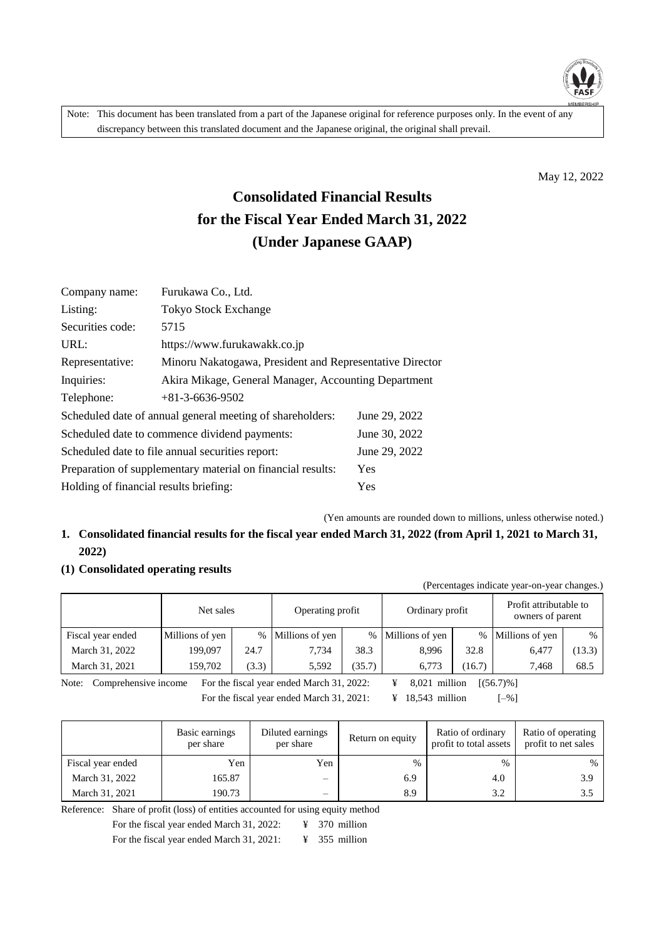

Note: This document has been translated from a part of the Japanese original for reference purposes only. In the event of any discrepancy between this translated document and the Japanese original, the original shall prevail.

May 12, 2022

# **Consolidated Financial Results for the Fiscal Year Ended March 31, 2022 (Under Japanese GAAP)**

| Company name:                                                      | Furukawa Co., Ltd.                                        |               |  |  |  |  |  |
|--------------------------------------------------------------------|-----------------------------------------------------------|---------------|--|--|--|--|--|
| Listing:                                                           | <b>Tokyo Stock Exchange</b>                               |               |  |  |  |  |  |
| Securities code:                                                   | 5715                                                      |               |  |  |  |  |  |
| URL:                                                               | https://www.furukawakk.co.jp                              |               |  |  |  |  |  |
| Representative:                                                    | Minoru Nakatogawa, President and Representative Director  |               |  |  |  |  |  |
| Inquiries:                                                         | Akira Mikage, General Manager, Accounting Department      |               |  |  |  |  |  |
| Telephone:                                                         | $+81-3-6636-9502$                                         |               |  |  |  |  |  |
|                                                                    | Scheduled date of annual general meeting of shareholders: | June 29, 2022 |  |  |  |  |  |
|                                                                    | Scheduled date to commence dividend payments:             | June 30, 2022 |  |  |  |  |  |
|                                                                    | Scheduled date to file annual securities report:          | June 29, 2022 |  |  |  |  |  |
| Preparation of supplementary material on financial results:<br>Yes |                                                           |               |  |  |  |  |  |
| Holding of financial results briefing:                             |                                                           | Yes           |  |  |  |  |  |
|                                                                    |                                                           |               |  |  |  |  |  |

(Yen amounts are rounded down to millions, unless otherwise noted.)

### **1. Consolidated financial results for the fiscal year ended March 31, 2022 (from April 1, 2021 to March 31, 2022)**

#### **(1) Consolidated operating results**

|                   |                 |       |                   |        |                 |       | (Percentages indicate year-on-year changes.) |        |
|-------------------|-----------------|-------|-------------------|--------|-----------------|-------|----------------------------------------------|--------|
|                   | Net sales       |       | Operating profit  |        | Ordinary profit |       | Profit attributable to<br>owners of parent   |        |
| Fiscal year ended | Millions of yen |       | % Millions of yen | $\%$   | Millions of yen |       | % Millions of yen                            | $\%$   |
| March 31, 2022    | 199,097         | 24.7  | 7.734             | 38.3   | 8.996           | 32.8  | 6.477                                        | (13.3) |
| March 31, 2021    | 159,702         | (3.3) | 5,592             | (35.7) | 6.773           | 16.7) | 7,468                                        | 68.5   |

Note: Comprehensive income For the fiscal year ended March 31, 2022: ¥ 8,021 million [(56.7)%] For the fiscal year ended March 31, 2021:  $\qquad \qquad \text{#} \quad 18,543 \text{ million} \qquad \qquad [-\%]$ 

|                   | Basic earnings<br>per share | Diluted earnings<br>per share | Return on equity | Ratio of ordinary<br>profit to total assets | Ratio of operating<br>profit to net sales |
|-------------------|-----------------------------|-------------------------------|------------------|---------------------------------------------|-------------------------------------------|
| Fiscal year ended | Yen                         | Yen                           | $\%$             | $\%$                                        | %                                         |
| March 31, 2022    | 165.87                      | $\overline{\phantom{m}}$      | 6.9              | 4.0                                         | 3.9                                       |
| March 31, 2021    | 190.73                      | $\overline{\phantom{m}}$      | 8.9              | 3.2                                         | 3.5                                       |

Reference: Share of profit (loss) of entities accounted for using equity method

For the fiscal year ended March 31, 2022: ¥ 370 million

For the fiscal year ended March 31, 2021: ¥ 355 million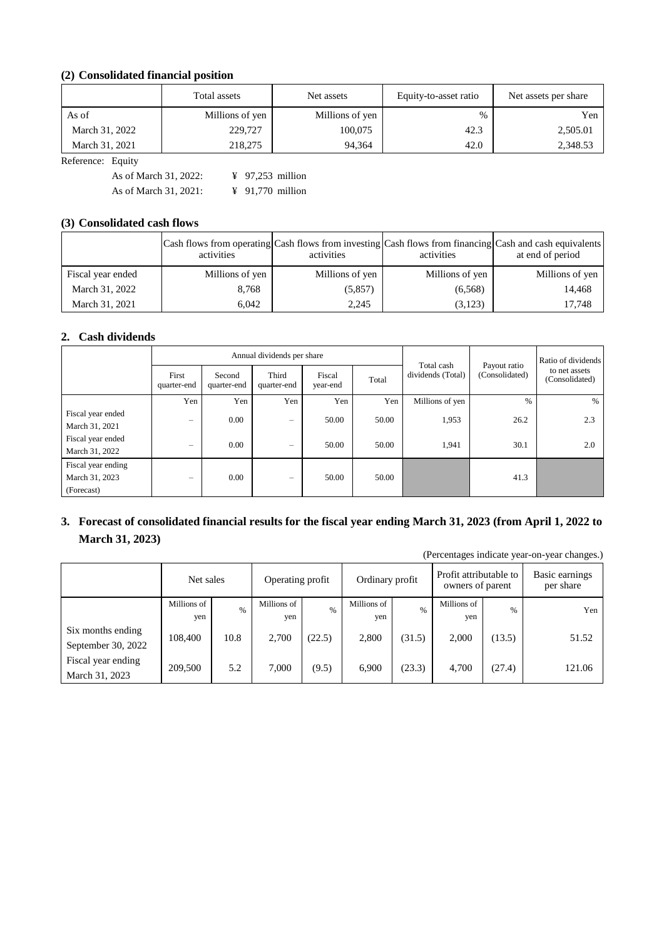### **(2) Consolidated financial position**

|                | Total assets    | Net assets      | Equity-to-asset ratio | Net assets per share |  |
|----------------|-----------------|-----------------|-----------------------|----------------------|--|
| As of          | Millions of yen | Millions of yen | $\%$                  | Yen                  |  |
| March 31, 2022 | 229,727         | 100,075         | 42.3                  | 2,505.01             |  |
| March 31, 2021 | 218,275         | 94.364          | 42.0                  | 2,348.53             |  |

Reference: Equity

As of March 31, 2022: ¥ 97,253 million As of March 31, 2021: ¥ 91,770 million

#### **(3) Consolidated cash flows**

|                   | Cash flows from operating Cash flows from investing Cash flows from financing Cash and cash equivalents<br>activities | activities      | activities      | at end of period |
|-------------------|-----------------------------------------------------------------------------------------------------------------------|-----------------|-----------------|------------------|
| Fiscal year ended | Millions of yen                                                                                                       | Millions of yen | Millions of yen | Millions of yen  |
| March 31, 2022    | 8,768                                                                                                                 | (5,857)         | (6, 568)        | 14,468           |
| March 31, 2021    | 6.042                                                                                                                 | 2,245           | (3,123)         | 17.748           |

#### **2. Cash dividends**

|                                                    |                          |                       | Annual dividends per share |                    | Total cash |                   | Ratio of dividends             |                                 |  |
|----------------------------------------------------|--------------------------|-----------------------|----------------------------|--------------------|------------|-------------------|--------------------------------|---------------------------------|--|
|                                                    | First<br>quarter-end     | Second<br>quarter-end | Third<br>quarter-end       | Fiscal<br>year-end | Total      | dividends (Total) | Payout ratio<br>(Consolidated) | to net assets<br>(Consolidated) |  |
|                                                    | Yen                      | Yen                   | Yen                        | Yen                | Yen        | Millions of yen   | $\%$                           | $\%$                            |  |
| Fiscal year ended<br>March 31, 2021                | -                        | 0.00                  | $\overline{\phantom{0}}$   | 50.00              | 50.00      | 1,953             | 26.2                           | 2.3                             |  |
| Fiscal year ended<br>March 31, 2022                | -                        | 0.00                  | $\overline{\phantom{0}}$   | 50.00              | 50.00      | 1,941             | 30.1                           | 2.0                             |  |
| Fiscal year ending<br>March 31, 2023<br>(Forecast) | $\overline{\phantom{0}}$ | 0.00                  | $\overline{\phantom{0}}$   | 50.00              | 50.00      |                   | 41.3                           |                                 |  |

### **3. Forecast of consolidated financial results for the fiscal year ending March 31, 2023 (from April 1, 2022 to March 31, 2023)**

(Percentages indicate year-on-year changes.)

|                                         | Net sales          |      | Operating profit   |        | Ordinary profit    |        | Profit attributable to<br>owners of parent |        | Basic earnings<br>per share |
|-----------------------------------------|--------------------|------|--------------------|--------|--------------------|--------|--------------------------------------------|--------|-----------------------------|
|                                         | Millions of<br>yen | $\%$ | Millions of<br>yen | $\%$   | Millions of<br>yen | $\%$   | Millions of<br>yen                         | %      | Yen                         |
| Six months ending<br>September 30, 2022 | 108,400            | 10.8 | 2.700              | (22.5) | 2,800              | (31.5) | 2,000                                      | (13.5) | 51.52                       |
| Fiscal year ending<br>March 31, 2023    | 209,500            | 5.2  | 7.000              | (9.5)  | 6.900              | (23.3) | 4,700                                      | (27.4) | 121.06                      |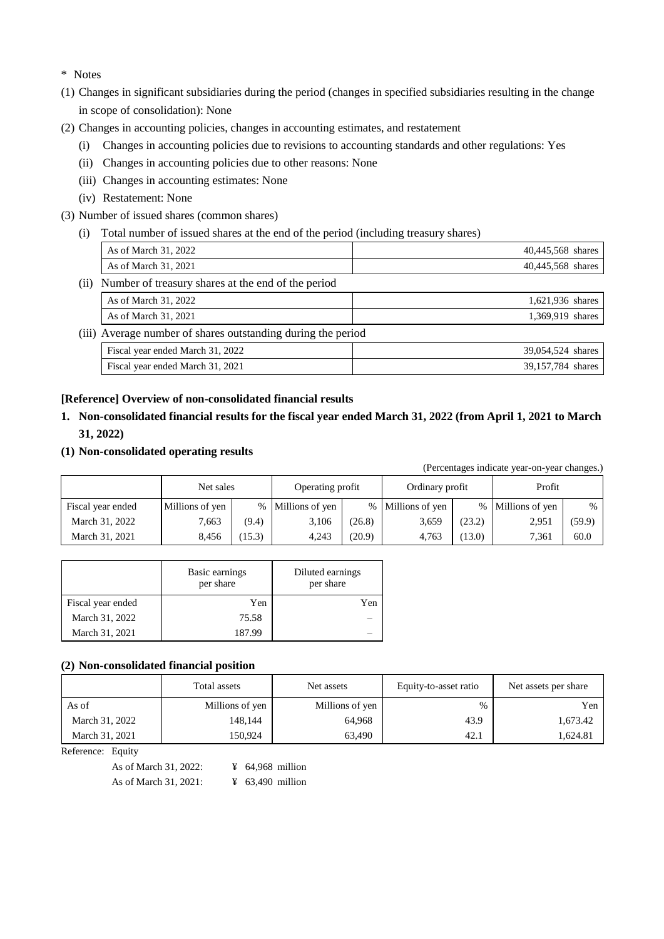\* Notes

- (1) Changes in significant subsidiaries during the period (changes in specified subsidiaries resulting in the change in scope of consolidation): None
- (2) Changes in accounting policies, changes in accounting estimates, and restatement
	- (i) Changes in accounting policies due to revisions to accounting standards and other regulations: Yes
	- (ii) Changes in accounting policies due to other reasons: None
	- (iii) Changes in accounting estimates: None
	- (iv) Restatement: None
- (3) Number of issued shares (common shares)
	- (i) Total number of issued shares at the end of the period (including treasury shares)

|      | As of March 31, 2022                                         |  | 40,445,568 shares |
|------|--------------------------------------------------------------|--|-------------------|
|      | As of March 31, 2021                                         |  | 40,445,568 shares |
| (ii) | Number of treasury shares at the end of the period           |  |                   |
|      | As of March 31, 2022                                         |  | 1,621,936 shares  |
|      | As of March 31, 2021                                         |  | 1,369,919 shares  |
|      | (iii) Average number of shares outstanding during the period |  |                   |
|      | Fiscal year ended March 31, 2022                             |  | 39,054,524 shares |
|      | Fiscal year ended March 31, 2021                             |  | 39,157,784 shares |

#### **[Reference] Overview of non-consolidated financial results**

- **1. Non-consolidated financial results for the fiscal year ended March 31, 2022 (from April 1, 2021 to March 31, 2022)**
- **(1) Non-consolidated operating results**

(Percentages indicate year-on-year changes.)

|                   | Net sales       |       | Operating profit  |        | Ordinary profit   |        | Profit            |        |
|-------------------|-----------------|-------|-------------------|--------|-------------------|--------|-------------------|--------|
| Fiscal year ended | Millions of yen |       | % Millions of yen |        | % Millions of yen |        | % Millions of yen | %      |
| March 31, 2022    | 7.663           | (9.4) | 3,106             | (26.8) | 3.659             | (23.2) | 2,951             | (59.9) |
| March 31, 2021    | 8.456           | 15.3) | 4.243             | (20.9) | 4.763             | (13.0) | 7,361             | 60.0   |

|                   | Basic earnings<br>per share | Diluted earnings<br>per share |
|-------------------|-----------------------------|-------------------------------|
| Fiscal year ended | Yen                         | Yen                           |
| March 31, 2022    | 75.58                       |                               |
| March 31, 2021    | 187.99                      |                               |

#### **(2) Non-consolidated financial position**

|                | Total assets    | Net assets      | Equity-to-asset ratio | Net assets per share |  |
|----------------|-----------------|-----------------|-----------------------|----------------------|--|
| As of          | Millions of yen | Millions of yen | $\%$                  | Yen                  |  |
| March 31, 2022 | 148.144         | 64.968          | 43.9                  | 1,673.42             |  |
| March 31, 2021 | 150.924         | 63.490          | 42.1                  | 1,624.81             |  |

Reference: Equity

As of March 31, 2022: ¥ 64,968 million As of March 31, 2021: ¥ 63,490 million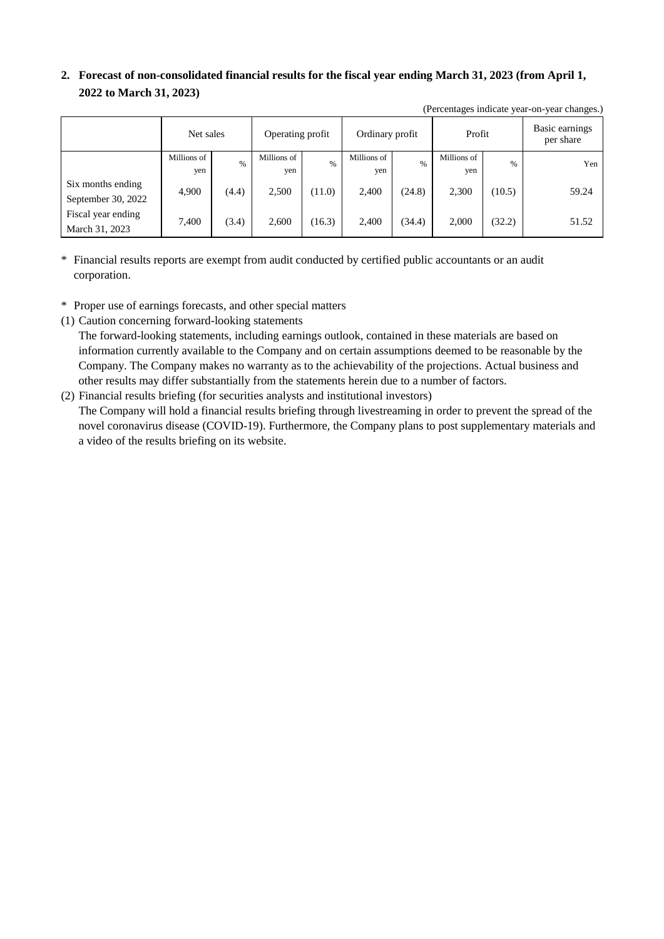### **2. Forecast of non-consolidated financial results for the fiscal year ending March 31, 2023 (from April 1, 2022 to March 31, 2023)**

(Percentages indicate year-on-year changes.)

| (I creentages mureate year-on-year changes.) |                    |       |                    |        |                    |        |                    |               |                             |
|----------------------------------------------|--------------------|-------|--------------------|--------|--------------------|--------|--------------------|---------------|-----------------------------|
|                                              | Net sales          |       | Operating profit   |        | Ordinary profit    |        | Profit             |               | Basic earnings<br>per share |
|                                              | Millions of<br>yen | $\%$  | Millions of<br>yen | $\%$   | Millions of<br>yen | $\%$   | Millions of<br>yen | $\frac{0}{0}$ | Yen                         |
| Six months ending<br>September 30, 2022      | 4,900              | (4.4) | 2,500              | (11.0) | 2,400              | (24.8) | 2,300              | (10.5)        | 59.24                       |
| Fiscal year ending<br>March 31, 2023         | 7,400              | (3.4) | 2,600              | (16.3) | 2,400              | (34.4) | 2,000              | (32.2)        | 51.52                       |

- \* Financial results reports are exempt from audit conducted by certified public accountants or an audit corporation.
- \* Proper use of earnings forecasts, and other special matters
- (1) Caution concerning forward-looking statements

The forward-looking statements, including earnings outlook, contained in these materials are based on information currently available to the Company and on certain assumptions deemed to be reasonable by the Company. The Company makes no warranty as to the achievability of the projections. Actual business and other results may differ substantially from the statements herein due to a number of factors.

(2) Financial results briefing (for securities analysts and institutional investors) The Company will hold a financial results briefing through livestreaming in order to prevent the spread of the novel coronavirus disease (COVID-19). Furthermore, the Company plans to post supplementary materials and a video of the results briefing on its website.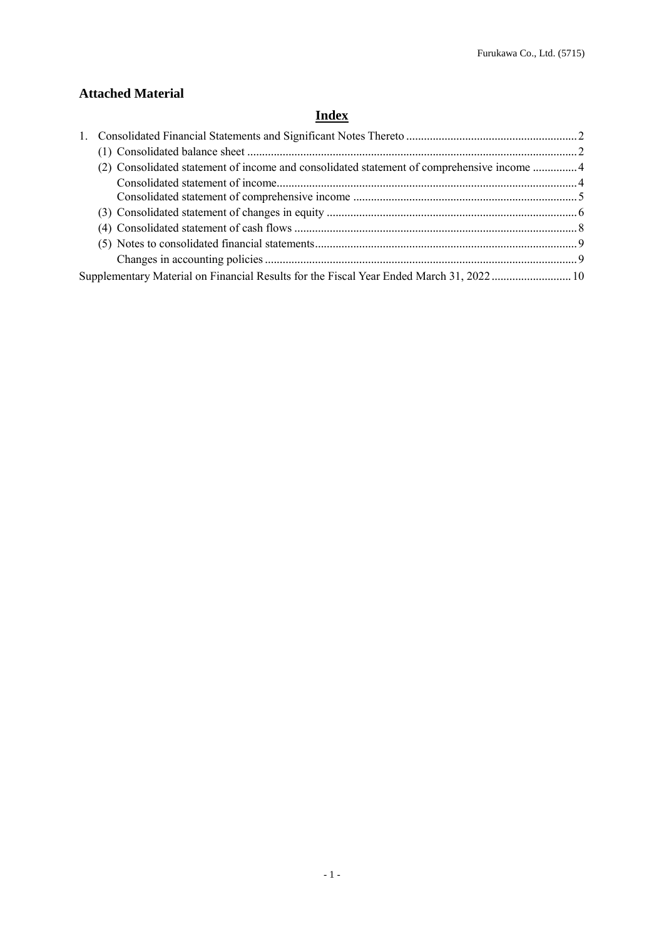### **Attached Material**

## **Index**

| (2) Consolidated statement of income and consolidated statement of comprehensive income 4 |  |
|-------------------------------------------------------------------------------------------|--|
|                                                                                           |  |
|                                                                                           |  |
|                                                                                           |  |
|                                                                                           |  |
|                                                                                           |  |
|                                                                                           |  |
| Supplementary Material on Financial Results for the Fiscal Year Ended March 31, 202210    |  |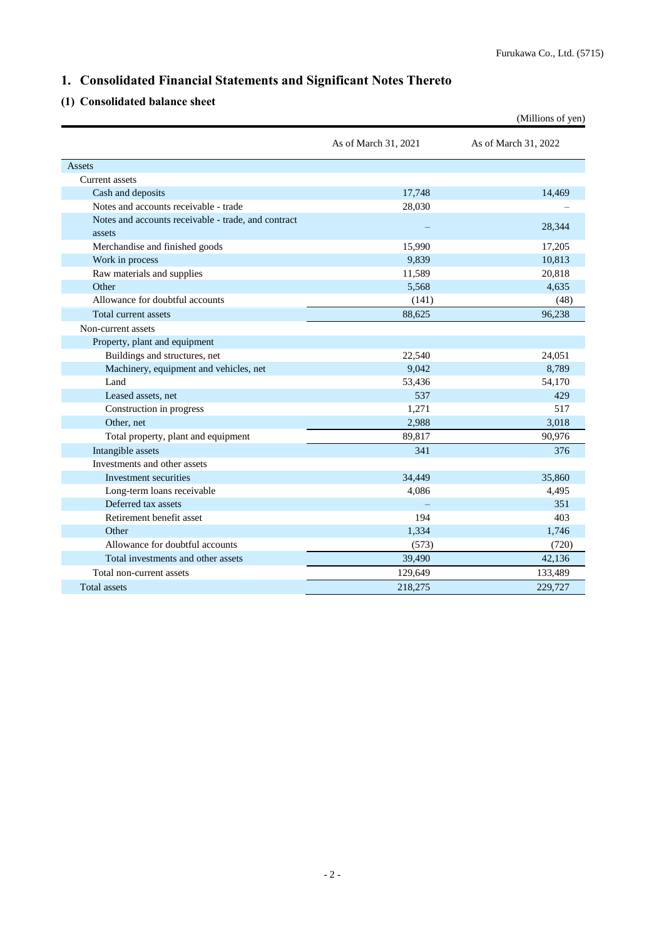### <span id="page-5-0"></span>**1. Consolidated Financial Statements and Significant Notes Thereto**

### <span id="page-5-1"></span>**(1) Consolidated balance sheet**

|                                                     |                      | (Millions of yen)    |
|-----------------------------------------------------|----------------------|----------------------|
|                                                     | As of March 31, 2021 | As of March 31, 2022 |
| Assets                                              |                      |                      |
| Current assets                                      |                      |                      |
| Cash and deposits                                   | 17,748               | 14,469               |
| Notes and accounts receivable - trade               | 28,030               |                      |
| Notes and accounts receivable - trade, and contract |                      | 28,344               |
| assets                                              |                      |                      |
| Merchandise and finished goods                      | 15,990               | 17,205               |
| Work in process                                     | 9.839                | 10,813               |
| Raw materials and supplies                          | 11,589               | 20,818               |
| Other                                               | 5.568                | 4,635                |
| Allowance for doubtful accounts                     | (141)                | (48)                 |
| Total current assets                                | 88,625               | 96.238               |
| Non-current assets                                  |                      |                      |
| Property, plant and equipment                       |                      |                      |
| Buildings and structures, net                       | 22,540               | 24,051               |
| Machinery, equipment and vehicles, net              | 9,042                | 8,789                |
| Land                                                | 53,436               | 54,170               |
| Leased assets, net                                  | 537                  | 429                  |
| Construction in progress                            | 1,271                | 517                  |
| Other, net                                          | 2,988                | 3,018                |
| Total property, plant and equipment                 | 89,817               | 90,976               |
| Intangible assets                                   | 341                  | 376                  |
| Investments and other assets                        |                      |                      |
| Investment securities                               | 34,449               | 35,860               |
| Long-term loans receivable                          | 4,086                | 4,495                |
| Deferred tax assets                                 |                      | 351                  |
| Retirement benefit asset                            | 194                  | 403                  |
| Other                                               | 1,334                | 1,746                |
| Allowance for doubtful accounts                     | (573)                | (720)                |
| Total investments and other assets                  | 39,490               | 42,136               |
| Total non-current assets                            | 129,649              | 133,489              |
| <b>Total assets</b>                                 | 218,275              | 229,727              |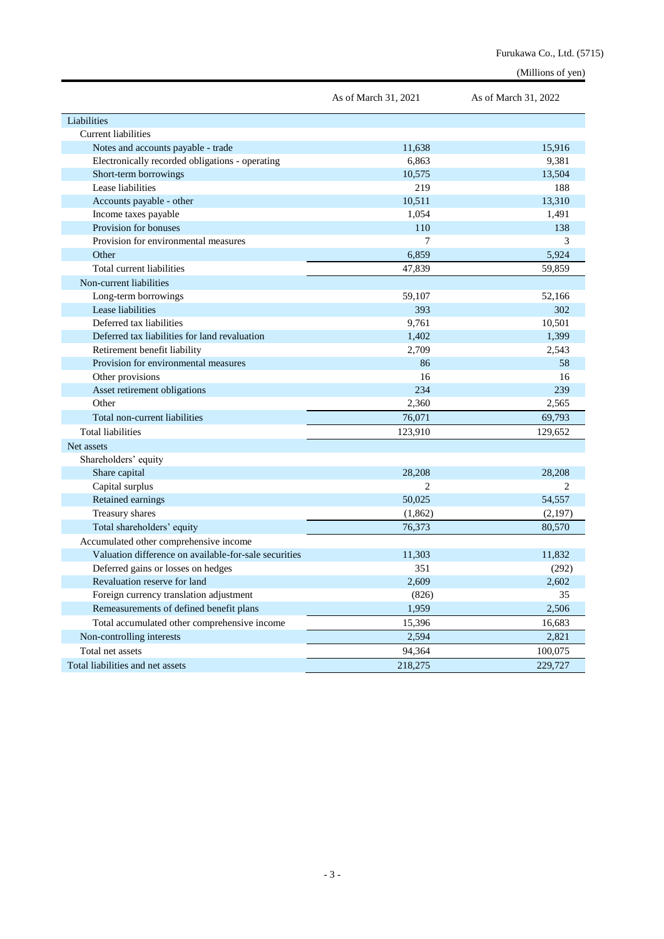|                                                       | As of March 31, 2021 | As of March 31, 2022 |
|-------------------------------------------------------|----------------------|----------------------|
| Liabilities                                           |                      |                      |
| Current liabilities                                   |                      |                      |
| Notes and accounts payable - trade                    | 11,638               | 15,916               |
| Electronically recorded obligations - operating       | 6,863                | 9,381                |
| Short-term borrowings                                 | 10,575               | 13,504               |
| Lease liabilities                                     | 219                  | 188                  |
| Accounts payable - other                              | 10,511               | 13,310               |
| Income taxes payable                                  | 1,054                | 1,491                |
| Provision for bonuses                                 | 110                  | 138                  |
| Provision for environmental measures                  | 7                    | 3                    |
| Other                                                 | 6,859                | 5,924                |
| Total current liabilities                             | 47,839               | 59,859               |
| Non-current liabilities                               |                      |                      |
| Long-term borrowings                                  | 59,107               | 52,166               |
| Lease liabilities                                     | 393                  | 302                  |
| Deferred tax liabilities                              | 9,761                | 10,501               |
| Deferred tax liabilities for land revaluation         | 1,402                | 1,399                |
| Retirement benefit liability                          | 2,709                | 2,543                |
| Provision for environmental measures                  | 86                   | 58                   |
| Other provisions                                      | 16                   | 16                   |
| Asset retirement obligations                          | 234                  | 239                  |
| Other                                                 | 2,360                | 2,565                |
| Total non-current liabilities                         | 76,071               | 69,793               |
| <b>Total liabilities</b>                              | 123,910              | 129,652              |
| Net assets                                            |                      |                      |
| Shareholders' equity                                  |                      |                      |
| Share capital                                         | 28,208               | 28,208               |
| Capital surplus                                       | 2                    | 2                    |
| Retained earnings                                     | 50,025               | 54,557               |
| Treasury shares                                       | (1,862)              | (2,197)              |
| Total shareholders' equity                            | 76,373               | 80,570               |
| Accumulated other comprehensive income                |                      |                      |
| Valuation difference on available-for-sale securities | 11,303               | 11,832               |
| Deferred gains or losses on hedges                    | 351                  | (292)                |
| Revaluation reserve for land                          | 2,609                | 2,602                |
| Foreign currency translation adjustment               | (826)                | 35                   |
| Remeasurements of defined benefit plans               | 1,959                | 2,506                |
| Total accumulated other comprehensive income          | 15,396               | 16,683               |
| Non-controlling interests                             | 2,594                | 2,821                |
| Total net assets                                      | 94,364               | 100,075              |
| Total liabilities and net assets                      | 218,275              | 229,727              |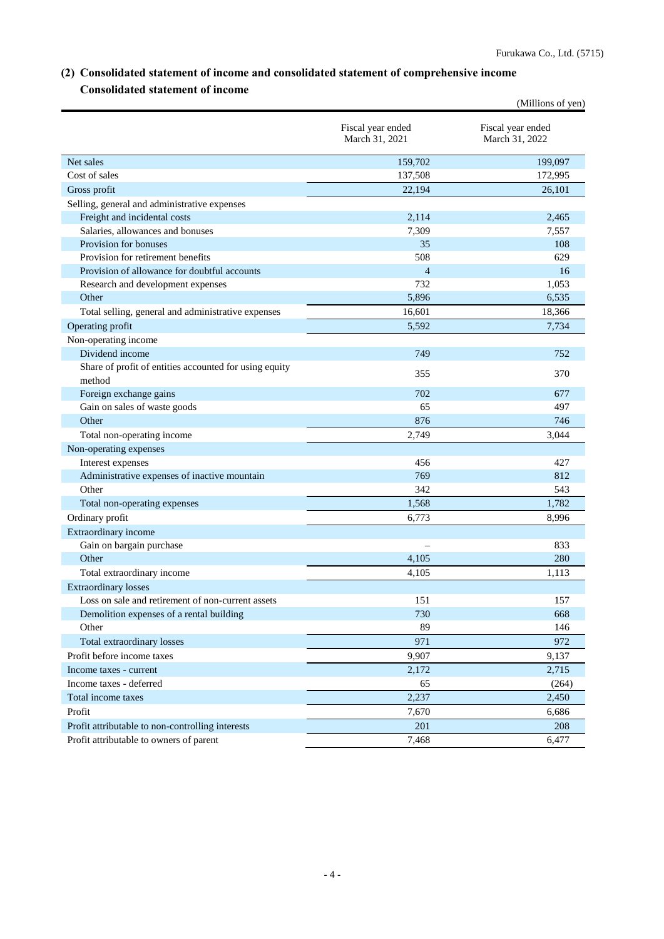### <span id="page-7-0"></span>**(2) Consolidated statement of income and consolidated statement of comprehensive income Consolidated statement of income**

<span id="page-7-1"></span>

|                                                                  |                                     | (Millions of yen)                   |
|------------------------------------------------------------------|-------------------------------------|-------------------------------------|
|                                                                  | Fiscal year ended<br>March 31, 2021 | Fiscal year ended<br>March 31, 2022 |
| Net sales                                                        | 159,702                             | 199,097                             |
| Cost of sales                                                    | 137,508                             | 172,995                             |
| Gross profit                                                     | 22,194                              | 26,101                              |
| Selling, general and administrative expenses                     |                                     |                                     |
| Freight and incidental costs                                     | 2,114                               | 2,465                               |
| Salaries, allowances and bonuses                                 | 7,309                               | 7,557                               |
| Provision for bonuses                                            | 35                                  | 108                                 |
| Provision for retirement benefits                                | 508                                 | 629                                 |
| Provision of allowance for doubtful accounts                     | 4                                   | 16                                  |
| Research and development expenses                                | 732                                 | 1,053                               |
| Other                                                            | 5,896                               | 6,535                               |
| Total selling, general and administrative expenses               | 16,601                              | 18,366                              |
| Operating profit                                                 | 5,592                               | 7,734                               |
| Non-operating income                                             |                                     |                                     |
| Dividend income                                                  | 749                                 | 752                                 |
| Share of profit of entities accounted for using equity<br>method | 355                                 | 370                                 |
| Foreign exchange gains                                           | 702                                 | 677                                 |
| Gain on sales of waste goods                                     | 65                                  | 497                                 |
| Other                                                            | 876                                 | 746                                 |
| Total non-operating income                                       | 2,749                               | 3,044                               |
| Non-operating expenses                                           |                                     |                                     |
| Interest expenses                                                | 456                                 | 427                                 |
| Administrative expenses of inactive mountain                     | 769                                 | 812                                 |
| Other                                                            | 342                                 | 543                                 |
| Total non-operating expenses                                     | 1,568                               | 1,782                               |
| Ordinary profit                                                  | 6,773                               | 8,996                               |
| Extraordinary income                                             |                                     |                                     |
| Gain on bargain purchase                                         |                                     | 833                                 |
| Other                                                            | 4.105                               | 280                                 |
| Total extraordinary income                                       | 4,105                               | 1,113                               |
| <b>Extraordinary losses</b>                                      |                                     |                                     |
| Loss on sale and retirement of non-current assets                | 151                                 | 157                                 |
| Demolition expenses of a rental building<br>Other                | 730<br>89                           | 668<br>146                          |
|                                                                  |                                     | 972                                 |
| Total extraordinary losses                                       | 971                                 |                                     |
| Profit before income taxes                                       | 9,907                               | 9,137                               |
| Income taxes - current                                           | 2,172                               | 2,715                               |
| Income taxes - deferred                                          | 65<br>2,237                         | (264)                               |
| Total income taxes                                               |                                     | 2,450                               |
| Profit                                                           | 7,670                               | 6,686                               |
| Profit attributable to non-controlling interests                 | 201                                 | 208                                 |
| Profit attributable to owners of parent                          | 7,468                               | 6,477                               |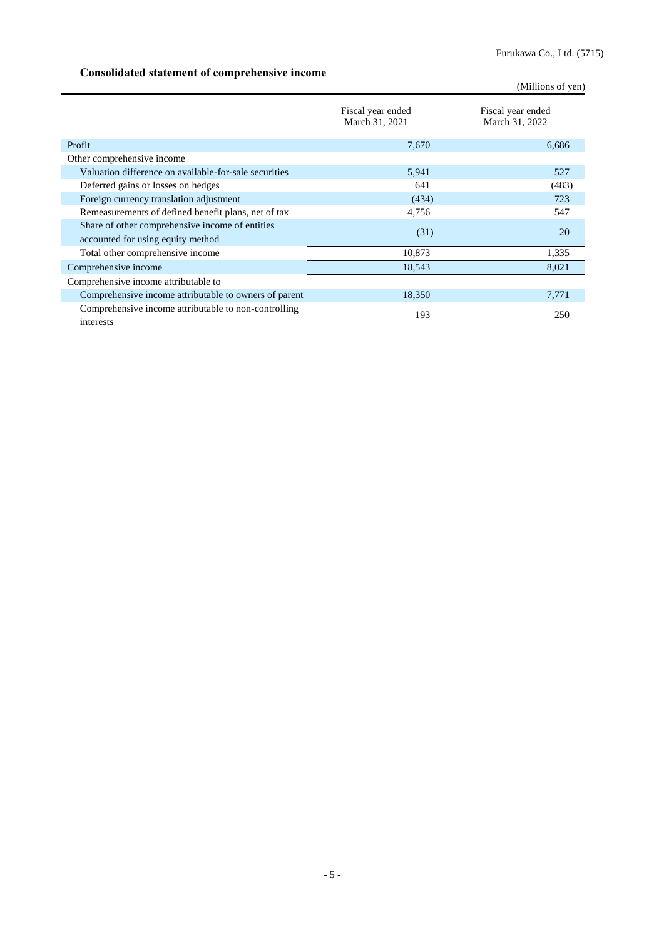### <span id="page-8-0"></span>**Consolidated statement of comprehensive income**

(Millions of yen)

|                                                                                      | Fiscal year ended<br>March 31, 2021 | Fiscal year ended<br>March 31, 2022 |
|--------------------------------------------------------------------------------------|-------------------------------------|-------------------------------------|
| Profit                                                                               | 7.670                               | 6.686                               |
| Other comprehensive income                                                           |                                     |                                     |
| Valuation difference on available-for-sale securities                                | 5,941                               | 527                                 |
| Deferred gains or losses on hedges                                                   | 641                                 | (483)                               |
| Foreign currency translation adjustment                                              | (434)                               | 723                                 |
| Remeasurements of defined benefit plans, net of tax                                  | 4,756                               | 547                                 |
| Share of other comprehensive income of entities<br>accounted for using equity method | (31)                                | 20                                  |
| Total other comprehensive income                                                     | 10,873                              | 1,335                               |
| Comprehensive income                                                                 | 18,543                              | 8,021                               |
| Comprehensive income attributable to                                                 |                                     |                                     |
| Comprehensive income attributable to owners of parent                                | 18,350                              | 7,771                               |
| Comprehensive income attributable to non-controlling<br>interests                    | 193                                 | 250                                 |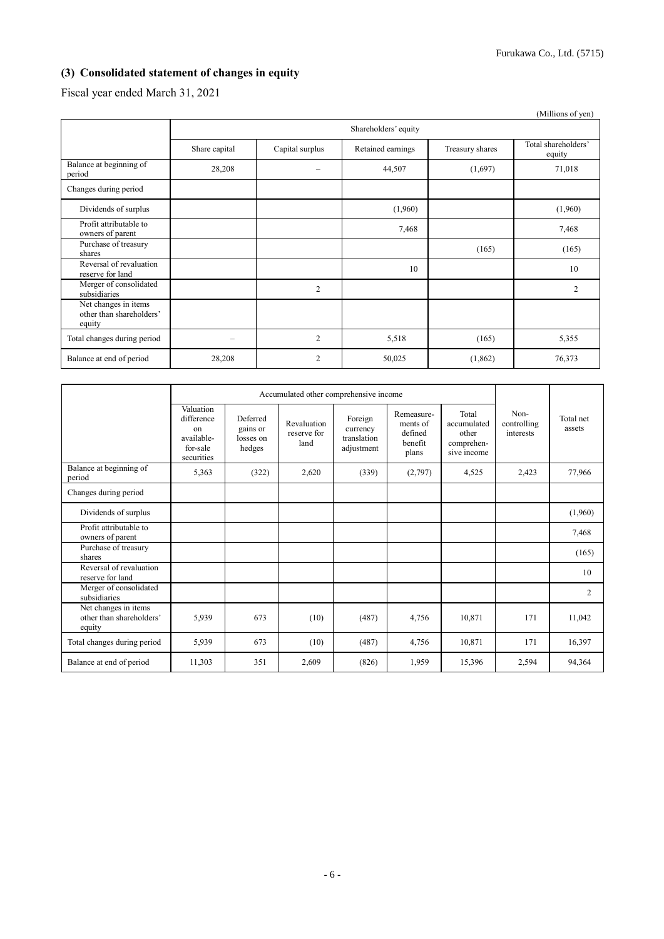### <span id="page-9-0"></span>**(3) Consolidated statement of changes in equity**

Fiscal year ended March 31, 2021

|                                                            |               |                      |                   |                 | (Millions of yen)             |  |  |
|------------------------------------------------------------|---------------|----------------------|-------------------|-----------------|-------------------------------|--|--|
|                                                            |               | Shareholders' equity |                   |                 |                               |  |  |
|                                                            | Share capital | Capital surplus      | Retained earnings | Treasury shares | Total shareholders'<br>equity |  |  |
| Balance at beginning of<br>period                          | 28,208        |                      | 44,507            | (1,697)         | 71,018                        |  |  |
| Changes during period                                      |               |                      |                   |                 |                               |  |  |
| Dividends of surplus                                       |               |                      | (1,960)           |                 | (1,960)                       |  |  |
| Profit attributable to<br>owners of parent                 |               |                      | 7,468             |                 | 7,468                         |  |  |
| Purchase of treasury<br>shares                             |               |                      |                   | (165)           | (165)                         |  |  |
| Reversal of revaluation<br>reserve for land                |               |                      | 10                |                 | 10                            |  |  |
| Merger of consolidated<br>subsidiaries                     |               | $\overline{2}$       |                   |                 | 2                             |  |  |
| Net changes in items<br>other than shareholders'<br>equity |               |                      |                   |                 |                               |  |  |
| Total changes during period                                |               | $\overline{2}$       | 5,518             | (165)           | 5,355                         |  |  |
| Balance at end of period                                   | 28,208        | $\overline{2}$       | 50,025            | (1,862)         | 76,373                        |  |  |

|                                                            |                                                                       | Accumulated other comprehensive income      |                                    |                                                  |                                                       |                                                            |                                  |                     |
|------------------------------------------------------------|-----------------------------------------------------------------------|---------------------------------------------|------------------------------------|--------------------------------------------------|-------------------------------------------------------|------------------------------------------------------------|----------------------------------|---------------------|
|                                                            | Valuation<br>difference<br>on<br>available-<br>for-sale<br>securities | Deferred<br>gains or<br>losses on<br>hedges | Revaluation<br>reserve for<br>land | Foreign<br>currency<br>translation<br>adjustment | Remeasure-<br>ments of<br>defined<br>benefit<br>plans | Total<br>accumulated<br>other<br>comprehen-<br>sive income | Non-<br>controlling<br>interests | Total net<br>assets |
| Balance at beginning of<br>period                          | 5,363                                                                 | (322)                                       | 2,620                              | (339)                                            | (2,797)                                               | 4,525                                                      | 2,423                            | 77,966              |
| Changes during period                                      |                                                                       |                                             |                                    |                                                  |                                                       |                                                            |                                  |                     |
| Dividends of surplus                                       |                                                                       |                                             |                                    |                                                  |                                                       |                                                            |                                  | (1,960)             |
| Profit attributable to<br>owners of parent                 |                                                                       |                                             |                                    |                                                  |                                                       |                                                            |                                  | 7,468               |
| Purchase of treasury<br>shares                             |                                                                       |                                             |                                    |                                                  |                                                       |                                                            |                                  | (165)               |
| Reversal of revaluation<br>reserve for land                |                                                                       |                                             |                                    |                                                  |                                                       |                                                            |                                  | 10                  |
| Merger of consolidated<br>subsidiaries                     |                                                                       |                                             |                                    |                                                  |                                                       |                                                            |                                  | $\overline{2}$      |
| Net changes in items<br>other than shareholders'<br>equity | 5,939                                                                 | 673                                         | (10)                               | (487)                                            | 4,756                                                 | 10,871                                                     | 171                              | 11,042              |
| Total changes during period                                | 5,939                                                                 | 673                                         | (10)                               | (487)                                            | 4,756                                                 | 10,871                                                     | 171                              | 16,397              |
| Balance at end of period                                   | 11,303                                                                | 351                                         | 2,609                              | (826)                                            | 1.959                                                 | 15,396                                                     | 2,594                            | 94.364              |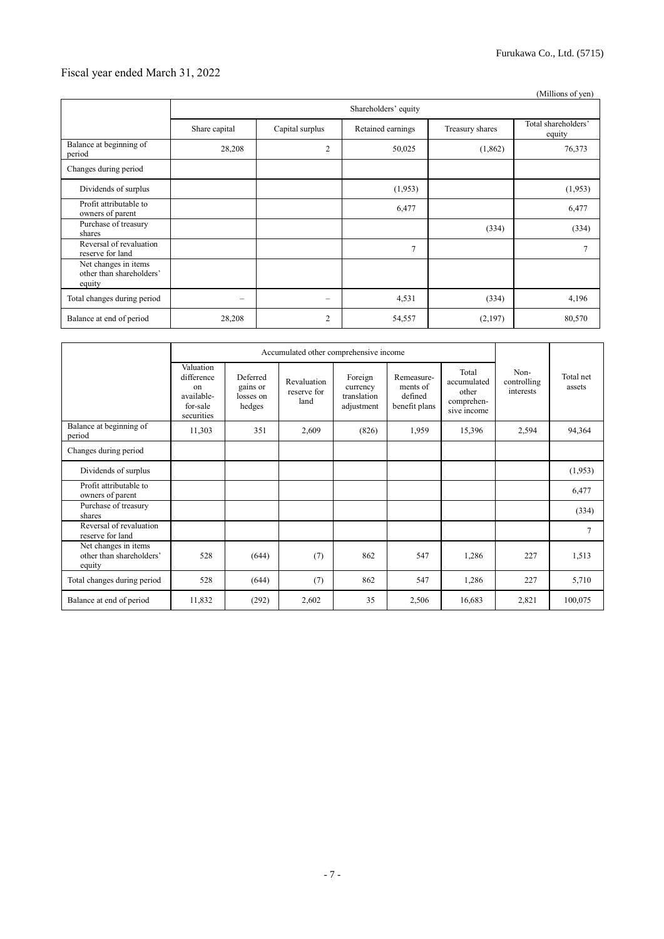### Fiscal year ended March 31, 2022

|                                                            |               |                      |                   |                 | (Millions of yen)             |  |  |
|------------------------------------------------------------|---------------|----------------------|-------------------|-----------------|-------------------------------|--|--|
|                                                            |               | Shareholders' equity |                   |                 |                               |  |  |
|                                                            | Share capital | Capital surplus      | Retained earnings | Treasury shares | Total shareholders'<br>equity |  |  |
| Balance at beginning of<br>period                          | 28,208        | $\overline{2}$       | 50,025            | (1,862)         | 76,373                        |  |  |
| Changes during period                                      |               |                      |                   |                 |                               |  |  |
| Dividends of surplus                                       |               |                      | (1,953)           |                 | (1,953)                       |  |  |
| Profit attributable to<br>owners of parent                 |               |                      | 6,477             |                 | 6,477                         |  |  |
| Purchase of treasury<br>shares                             |               |                      |                   | (334)           | (334)                         |  |  |
| Reversal of revaluation<br>reserve for land                |               |                      | $\overline{7}$    |                 |                               |  |  |
| Net changes in items<br>other than shareholders'<br>equity |               |                      |                   |                 |                               |  |  |
| Total changes during period                                | $\equiv$      | -                    | 4,531             | (334)           | 4,196                         |  |  |
| Balance at end of period                                   | 28,208        | 2                    | 54,557            | (2,197)         | 80,570                        |  |  |

|                                                            | Accumulated other comprehensive income                                |                                             |                                    |                                                  |                                                    |                                                            |                                  |                     |
|------------------------------------------------------------|-----------------------------------------------------------------------|---------------------------------------------|------------------------------------|--------------------------------------------------|----------------------------------------------------|------------------------------------------------------------|----------------------------------|---------------------|
|                                                            | Valuation<br>difference<br>on<br>available-<br>for-sale<br>securities | Deferred<br>gains or<br>losses on<br>hedges | Revaluation<br>reserve for<br>land | Foreign<br>currency<br>translation<br>adjustment | Remeasure-<br>ments of<br>defined<br>benefit plans | Total<br>accumulated<br>other<br>comprehen-<br>sive income | Non-<br>controlling<br>interests | Total net<br>assets |
| Balance at beginning of<br>period                          | 11,303                                                                | 351                                         | 2,609                              | (826)                                            | 1,959                                              | 15,396                                                     | 2,594                            | 94,364              |
| Changes during period                                      |                                                                       |                                             |                                    |                                                  |                                                    |                                                            |                                  |                     |
| Dividends of surplus                                       |                                                                       |                                             |                                    |                                                  |                                                    |                                                            |                                  | (1,953)             |
| Profit attributable to<br>owners of parent                 |                                                                       |                                             |                                    |                                                  |                                                    |                                                            |                                  | 6,477               |
| Purchase of treasury<br>shares                             |                                                                       |                                             |                                    |                                                  |                                                    |                                                            |                                  | (334)               |
| Reversal of revaluation<br>reserve for land                |                                                                       |                                             |                                    |                                                  |                                                    |                                                            |                                  | $\overline{7}$      |
| Net changes in items<br>other than shareholders'<br>equity | 528                                                                   | (644)                                       | (7)                                | 862                                              | 547                                                | 1,286                                                      | 227                              | 1,513               |
| Total changes during period                                | 528                                                                   | (644)                                       | (7)                                | 862                                              | 547                                                | 1,286                                                      | 227                              | 5,710               |
| Balance at end of period                                   | 11,832                                                                | (292)                                       | 2,602                              | 35                                               | 2,506                                              | 16,683                                                     | 2,821                            | 100,075             |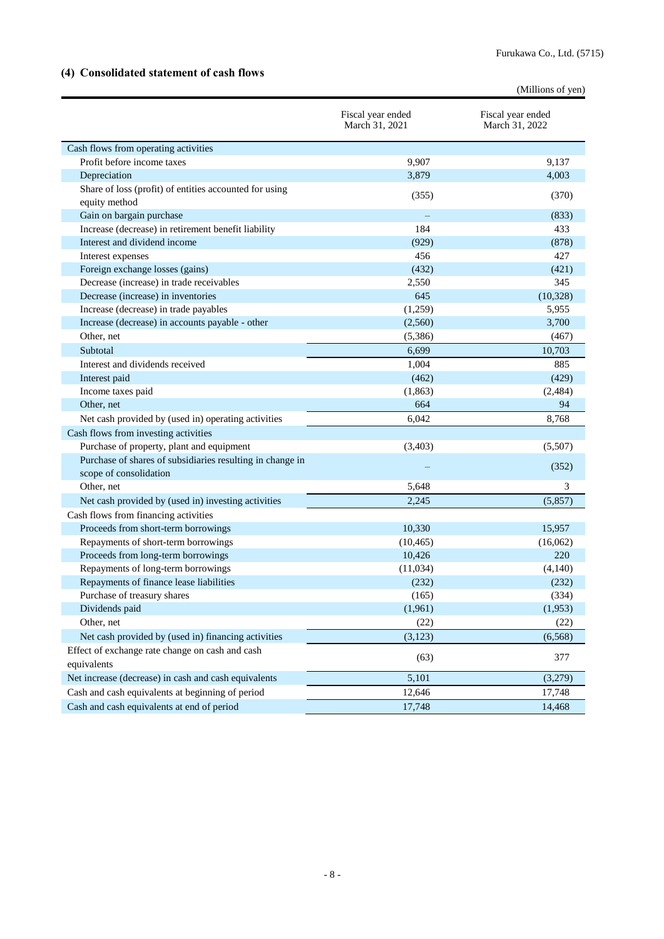### <span id="page-11-0"></span>**(4) Consolidated statement of cash flows**

|                                                                         |                                     | (Millions of yen)                   |
|-------------------------------------------------------------------------|-------------------------------------|-------------------------------------|
|                                                                         | Fiscal year ended<br>March 31, 2021 | Fiscal year ended<br>March 31, 2022 |
| Cash flows from operating activities                                    |                                     |                                     |
| Profit before income taxes                                              | 9,907                               | 9,137                               |
| Depreciation                                                            | 3,879                               | 4,003                               |
| Share of loss (profit) of entities accounted for using<br>equity method | (355)                               | (370)                               |
| Gain on bargain purchase                                                |                                     | (833)                               |
| Increase (decrease) in retirement benefit liability                     | 184                                 | 433                                 |
| Interest and dividend income                                            | (929)                               | (878)                               |
| Interest expenses                                                       | 456                                 | 427                                 |
| Foreign exchange losses (gains)                                         | (432)                               | (421)                               |
| Decrease (increase) in trade receivables                                | 2,550                               | 345                                 |
| Decrease (increase) in inventories                                      | 645                                 | (10, 328)                           |
| Increase (decrease) in trade payables                                   | (1,259)                             | 5,955                               |
| Increase (decrease) in accounts payable - other                         | (2,560)                             | 3,700                               |
| Other, net                                                              | (5,386)                             | (467)                               |
| Subtotal                                                                | 6,699                               | 10,703                              |
| Interest and dividends received                                         | 1,004                               | 885                                 |
| Interest paid                                                           | (462)                               | (429)                               |
| Income taxes paid                                                       | (1, 863)                            | (2, 484)                            |
| Other, net                                                              | 664                                 | 94                                  |
| Net cash provided by (used in) operating activities                     | 6,042                               | 8,768                               |
| Cash flows from investing activities                                    |                                     |                                     |
| Purchase of property, plant and equipment                               | (3,403)                             | (5,507)                             |
| Purchase of shares of subsidiaries resulting in change in               |                                     | (352)                               |
| scope of consolidation                                                  |                                     |                                     |
| Other, net                                                              | 5,648                               | 3                                   |
| Net cash provided by (used in) investing activities                     | 2,245                               | (5,857)                             |
| Cash flows from financing activities                                    |                                     |                                     |
| Proceeds from short-term borrowings                                     | 10,330                              | 15,957                              |
| Repayments of short-term borrowings                                     | (10, 465)                           | (16,062)                            |
| Proceeds from long-term borrowings                                      | 10,426                              | 220                                 |
| Repayments of long-term borrowings                                      | (11,034)                            | (4,140)                             |
| Repayments of finance lease liabilities                                 | (232)                               | (232)                               |
| Purchase of treasury shares                                             | (165)                               | (334)                               |
| Dividends paid                                                          | (1,961)                             | (1,953)                             |
| Other, net                                                              | (22)                                | (22)                                |
| Net cash provided by (used in) financing activities                     | (3, 123)                            | (6, 568)                            |
| Effect of exchange rate change on cash and cash<br>equivalents          | (63)                                | 377                                 |
| Net increase (decrease) in cash and cash equivalents                    | 5,101                               | (3,279)                             |
| Cash and cash equivalents at beginning of period                        | 12,646                              | 17,748                              |
| Cash and cash equivalents at end of period                              | 17,748                              | 14,468                              |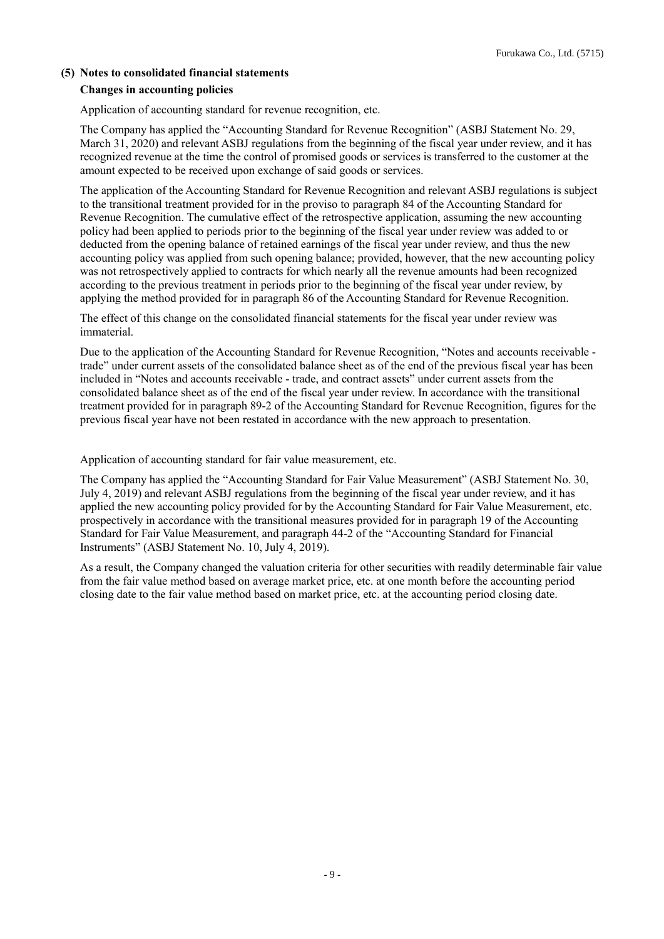#### <span id="page-12-1"></span><span id="page-12-0"></span>**(5) Notes to consolidated financial statements**

#### **Changes in accounting policies**

Application of accounting standard for revenue recognition, etc.

The Company has applied the "Accounting Standard for Revenue Recognition" (ASBJ Statement No. 29, March 31, 2020) and relevant ASBJ regulations from the beginning of the fiscal year under review, and it has recognized revenue at the time the control of promised goods or services is transferred to the customer at the amount expected to be received upon exchange of said goods or services.

The application of the Accounting Standard for Revenue Recognition and relevant ASBJ regulations is subject to the transitional treatment provided for in the proviso to paragraph 84 of the Accounting Standard for Revenue Recognition. The cumulative effect of the retrospective application, assuming the new accounting policy had been applied to periods prior to the beginning of the fiscal year under review was added to or deducted from the opening balance of retained earnings of the fiscal year under review, and thus the new accounting policy was applied from such opening balance; provided, however, that the new accounting policy was not retrospectively applied to contracts for which nearly all the revenue amounts had been recognized according to the previous treatment in periods prior to the beginning of the fiscal year under review, by applying the method provided for in paragraph 86 of the Accounting Standard for Revenue Recognition.

The effect of this change on the consolidated financial statements for the fiscal year under review was immaterial.

Due to the application of the Accounting Standard for Revenue Recognition, "Notes and accounts receivable trade" under current assets of the consolidated balance sheet as of the end of the previous fiscal year has been included in "Notes and accounts receivable - trade, and contract assets" under current assets from the consolidated balance sheet as of the end of the fiscal year under review. In accordance with the transitional treatment provided for in paragraph 89-2 of the Accounting Standard for Revenue Recognition, figures for the previous fiscal year have not been restated in accordance with the new approach to presentation.

Application of accounting standard for fair value measurement, etc.

The Company has applied the "Accounting Standard for Fair Value Measurement" (ASBJ Statement No. 30, July 4, 2019) and relevant ASBJ regulations from the beginning of the fiscal year under review, and it has applied the new accounting policy provided for by the Accounting Standard for Fair Value Measurement, etc. prospectively in accordance with the transitional measures provided for in paragraph 19 of the Accounting Standard for Fair Value Measurement, and paragraph 44-2 of the "Accounting Standard for Financial Instruments" (ASBJ Statement No. 10, July 4, 2019).

As a result, the Company changed the valuation criteria for other securities with readily determinable fair value from the fair value method based on average market price, etc. at one month before the accounting period closing date to the fair value method based on market price, etc. at the accounting period closing date.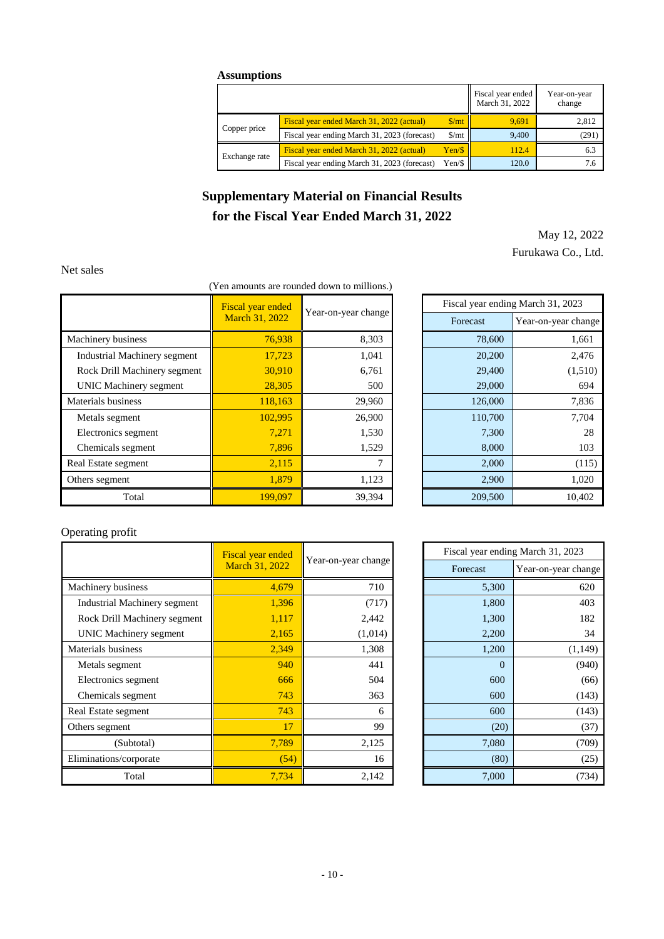#### **Assumptions**

|               |                                              |                             | Fiscal year ended<br>March 31, 2022 | Year-on-year<br>change |
|---------------|----------------------------------------------|-----------------------------|-------------------------------------|------------------------|
|               | Fiscal year ended March 31, 2022 (actual)    | $\frac{\text{m}}{\text{m}}$ | 9.691                               | 2,812                  |
| Copper price  | Fiscal year ending March 31, 2023 (forecast) | $\frac{\text{S}}{\text{m}}$ | 9.400                               | (291)                  |
|               | Fiscal year ended March 31, 2022 (actual)    | Yen/S                       | 112.4                               | 6.3                    |
| Exchange rate | Fiscal year ending March 31, 2023 (forecast) | Yen/\$                      | 120.0                               | 7.6                    |

## **Supplementary Material on Financial Results for the Fiscal Year Ended March 31, 2022**

May 12, 2022 Furukawa Co., Ltd.

#### <span id="page-13-0"></span>Net sales

#### (Yen amounts are rounded down to millions.)

|                               | Fiscal year ended | Year-on-year change |  |          | Fiscal year ending March 31, 2023 |
|-------------------------------|-------------------|---------------------|--|----------|-----------------------------------|
|                               | March 31, 2022    |                     |  | Forecast | Year-on-year change               |
| Machinery business            | 76,938            | 8,303               |  | 78,600   | 1,661                             |
| Industrial Machinery segment  | 17,723            | 1,041               |  | 20,200   | 2,476                             |
| Rock Drill Machinery segment  | 30,910            | 6,761               |  | 29,400   | (1,510)                           |
| <b>UNIC Machinery segment</b> | 28,305            | 500                 |  | 29,000   | 694                               |
| Materials business            | 118,163           | 29,960              |  | 126,000  | 7,836                             |
| Metals segment                | 102,995           | 26,900              |  | 110,700  | 7,704                             |
| Electronics segment           | 7,271             | 1,530               |  | 7,300    | 28                                |
| Chemicals segment             | 7,896             | 1,529               |  | 8,000    | 103                               |
| Real Estate segment           | 2,115             | 7                   |  | 2,000    | (115)                             |
| Others segment                | 1,879             | 1,123               |  | 2,900    | 1,020                             |
| Total                         | 199,097           | 39,394              |  | 209,500  | 10,402                            |

| Fiscal year ending March 31, 2023 |                     |  |
|-----------------------------------|---------------------|--|
| Forecast                          | Year-on-year change |  |
| 78,600                            | 1,661               |  |
| 20,200                            | 2,476               |  |
| 29,400                            | (1,510)             |  |
| 29,000                            | 694                 |  |
| 126,000                           | 7,836               |  |
| 110,700                           | 7,704               |  |
| 7,300                             | 28                  |  |
| 8,000                             | 103                 |  |
| 2,000                             | (115)               |  |
| 2,900                             | 1,020               |  |
| 209,500                           | 10,402              |  |

### Operating profit

|                               | <b>Fiscal year ended</b> | Year-on-year change |  | Fiscal year ending March 31, 2023 |                     |
|-------------------------------|--------------------------|---------------------|--|-----------------------------------|---------------------|
|                               | March 31, 2022           |                     |  | Forecast                          | Year-on-year change |
| Machinery business            | 4.679                    | 710                 |  | 5,300                             | 620                 |
| Industrial Machinery segment  | 1,396                    | (717)               |  | 1,800                             | 403                 |
| Rock Drill Machinery segment  | 1,117                    | 2,442               |  | 1,300                             | 182                 |
| <b>UNIC Machinery segment</b> | 2,165                    | (1,014)             |  | 2,200                             | 34                  |
| Materials business            | 2,349                    | 1,308               |  | 1,200                             | (1, 149)            |
| Metals segment                | 940                      | 441                 |  | $\Omega$                          | (940)               |
| Electronics segment           | 666                      | 504                 |  | 600                               | (66)                |
| Chemicals segment             | 743                      | 363                 |  | 600                               | (143)               |
| Real Estate segment           | 743                      | 6                   |  | 600                               | (143)               |
| Others segment                | 17                       | 99                  |  | (20)                              | (37)                |
| (Subtotal)                    | 7,789                    | 2,125               |  | 7,080                             | (709)               |
| Eliminations/corporate        | (54)                     | 16                  |  | (80)                              | (25)                |
| Total                         | 7.734                    | 2,142               |  | 7,000                             | (734)               |

| Fiscal year ending March 31, 2023 |                     |  |
|-----------------------------------|---------------------|--|
| Forecast                          | Year-on-year change |  |
| 5,300                             | 620                 |  |
| 1,800                             | 403                 |  |
| 1,300                             | 182                 |  |
| 2,200                             | 34                  |  |
| 1,200                             | (1,149)             |  |
| $\overline{0}$                    | (940)               |  |
| 600                               | (66)                |  |
| 600                               | (143)               |  |
| 600                               | (143)               |  |
| (20)                              | (37)                |  |
| 7,080                             | (709)               |  |
| (80)                              | (25)                |  |
| 7,000                             | (734)               |  |